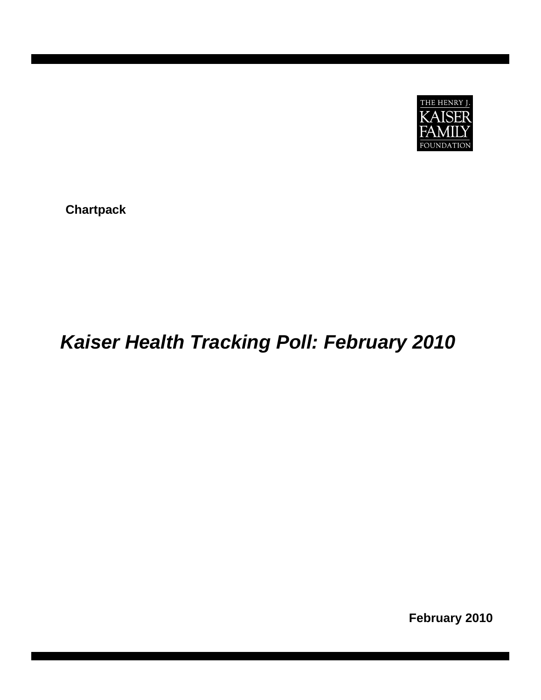

**Chartpack** 

## *Kaiser Health Tracking Poll: February 2010*

**February 2010**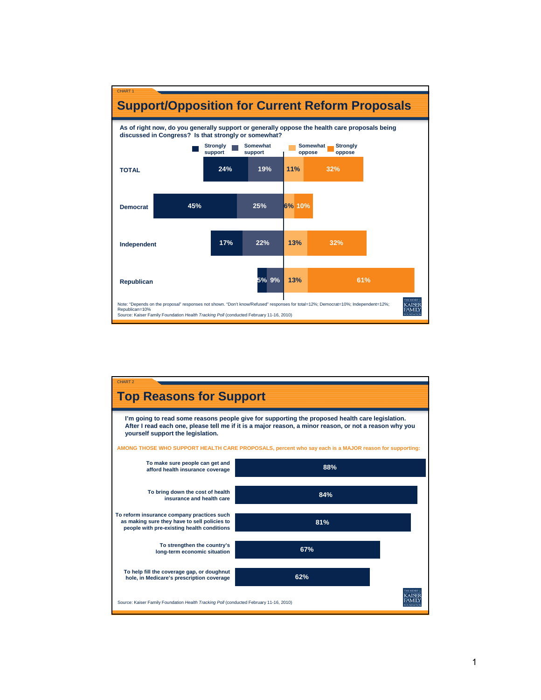

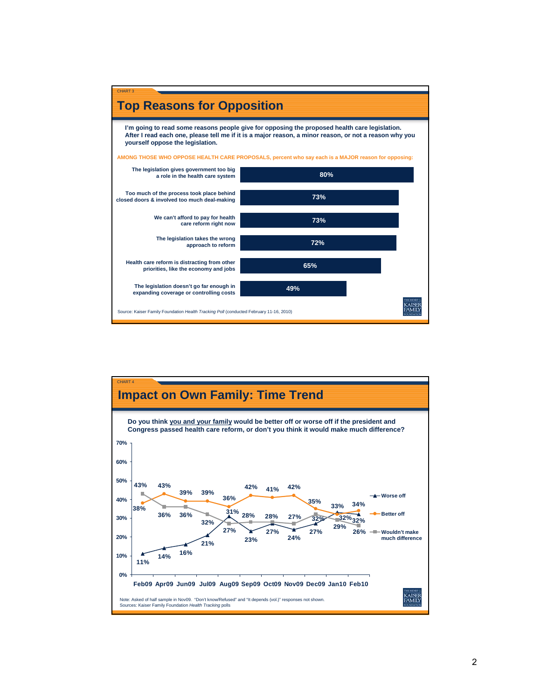

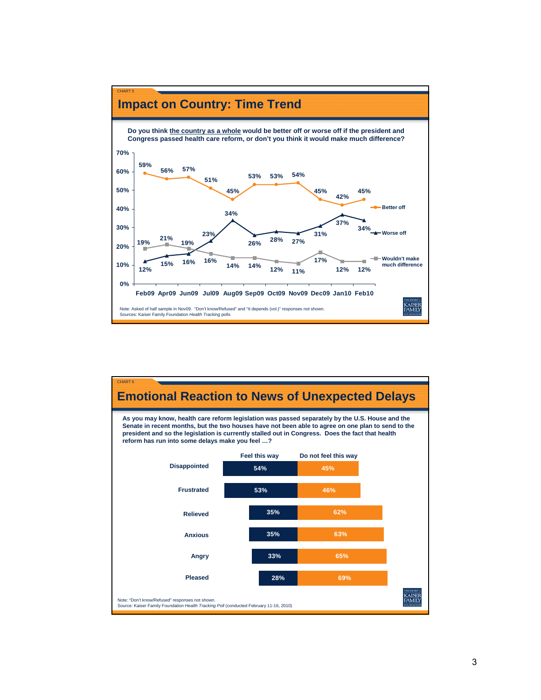

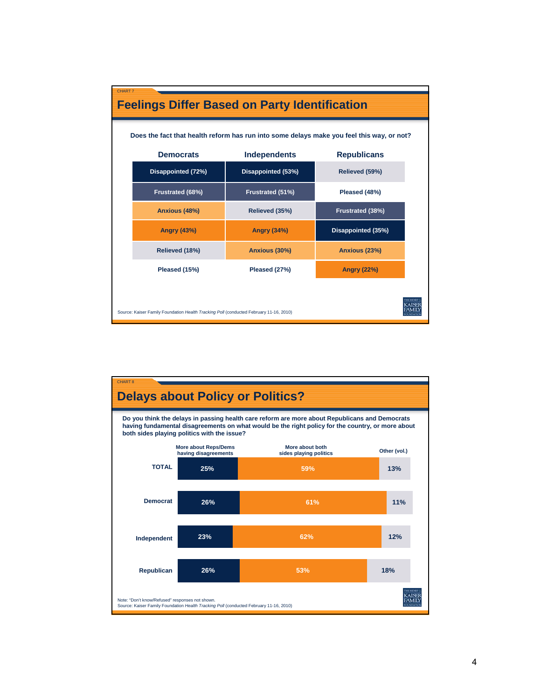| CHART <sub>7</sub>                                                                     |                    |                     | <b>Feelings Differ Based on Party Identification</b><br>Does the fact that health reform has run into some delays make you feel this way, or not? |  |  |  |  |  |
|----------------------------------------------------------------------------------------|--------------------|---------------------|---------------------------------------------------------------------------------------------------------------------------------------------------|--|--|--|--|--|
|                                                                                        |                    |                     |                                                                                                                                                   |  |  |  |  |  |
|                                                                                        | <b>Democrats</b>   | <b>Independents</b> | <b>Republicans</b>                                                                                                                                |  |  |  |  |  |
|                                                                                        | Disappointed (72%) | Disappointed (53%)  | Relieved (59%)                                                                                                                                    |  |  |  |  |  |
|                                                                                        | Frustrated (68%)   | Frustrated (51%)    | Pleased (48%)                                                                                                                                     |  |  |  |  |  |
|                                                                                        | Anxious (48%)      | Relieved (35%)      | Frustrated (38%)                                                                                                                                  |  |  |  |  |  |
|                                                                                        | <b>Angry (43%)</b> | <b>Angry (34%)</b>  | Disappointed (35%)                                                                                                                                |  |  |  |  |  |
|                                                                                        | Relieved (18%)     | Anxious (30%)       | Anxious (23%)                                                                                                                                     |  |  |  |  |  |
|                                                                                        | Pleased (15%)      | Pleased (27%)       | <b>Angry (22%)</b>                                                                                                                                |  |  |  |  |  |
| Source: Kaiser Family Foundation Health Tracking Poll (conducted February 11-16, 2010) |                    |                     |                                                                                                                                                   |  |  |  |  |  |

d

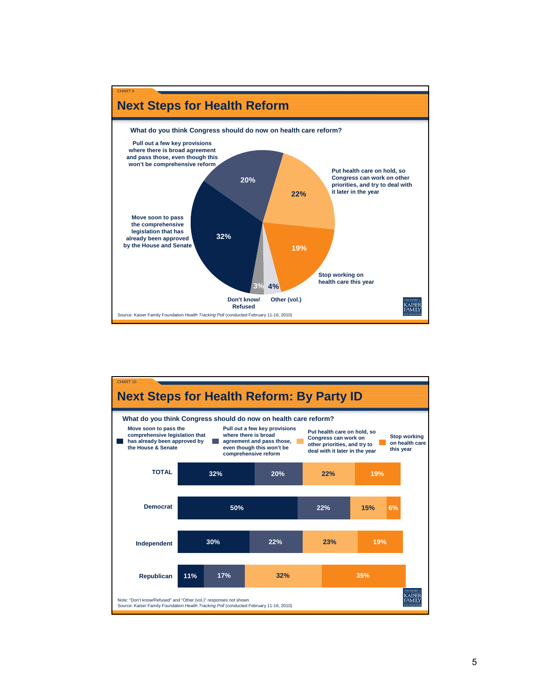

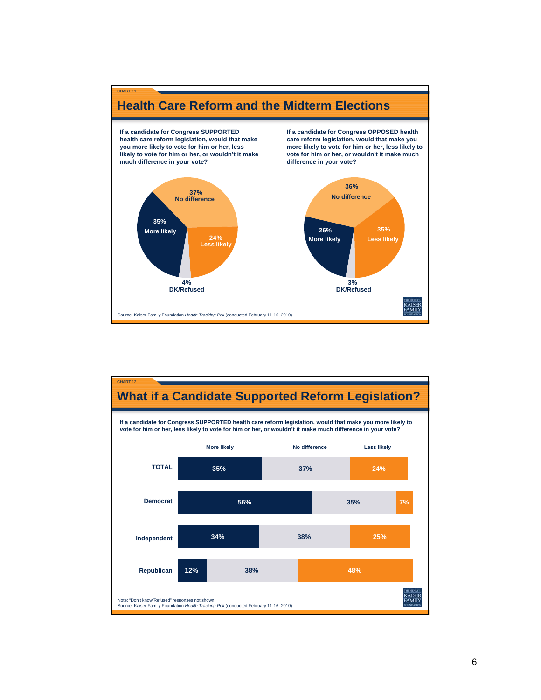

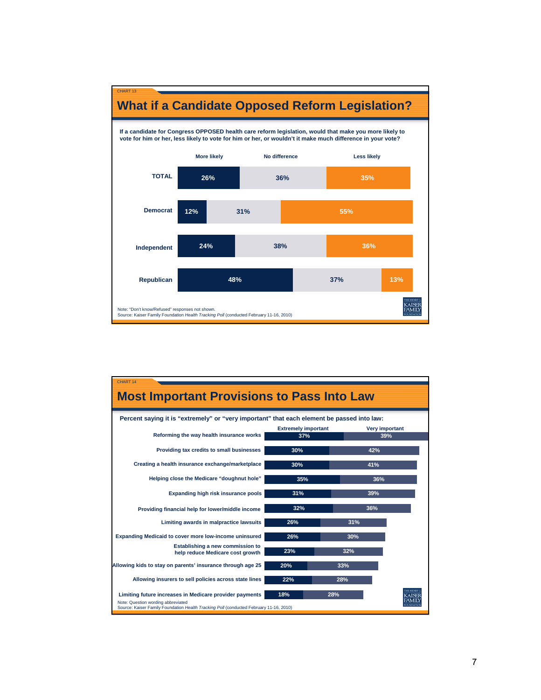

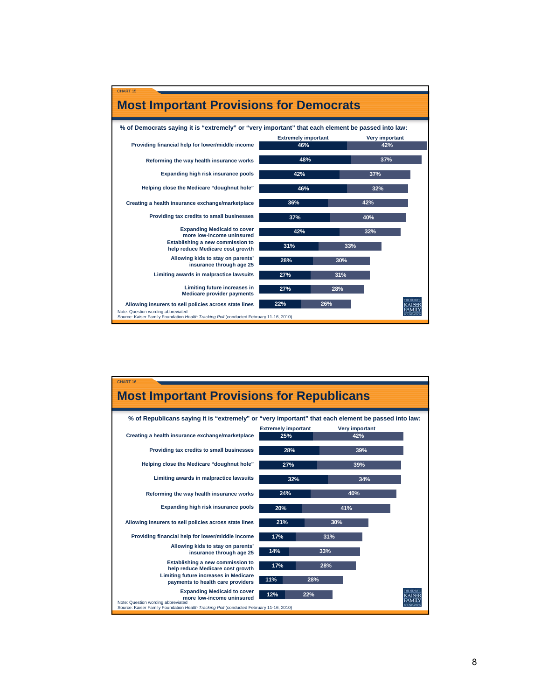



8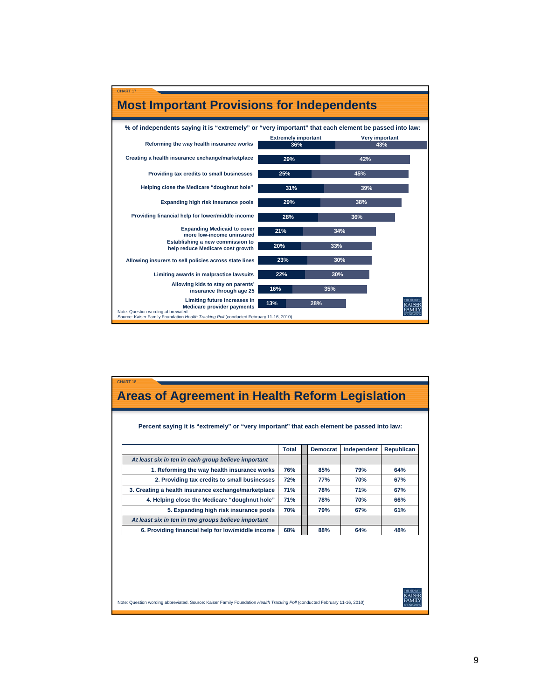

| CHART <sub>18</sub><br><b>Areas of Agreement in Health Reform Legislation</b>                                              |              |                 |             |                   |  |  |
|----------------------------------------------------------------------------------------------------------------------------|--------------|-----------------|-------------|-------------------|--|--|
| Percent saying it is "extremely" or "very important" that each element be passed into law:                                 |              |                 |             |                   |  |  |
|                                                                                                                            | <b>Total</b> | <b>Democrat</b> | Independent | <b>Republican</b> |  |  |
| At least six in ten in each group believe important                                                                        |              |                 |             |                   |  |  |
| 1. Reforming the way health insurance works                                                                                | 76%          | 85%             | 79%         | 64%               |  |  |
| 2. Providing tax credits to small businesses                                                                               | 72%          | <b>77%</b>      | 70%         | 67%               |  |  |
| 3. Creating a health insurance exchange/marketplace                                                                        | 71%          | 78%             | 71%         | 67%               |  |  |
| 4. Helping close the Medicare "doughnut hole"                                                                              | 71%          | 78%             | 70%         | 66%               |  |  |
| 5. Expanding high risk insurance pools                                                                                     | 70%          | 79%             | 67%         | 61%               |  |  |
| At least six in ten in two groups believe important                                                                        |              |                 |             |                   |  |  |
| 6. Providing financial help for low/middle income                                                                          | 68%          | 88%             | 64%         | 48%               |  |  |
|                                                                                                                            |              |                 |             |                   |  |  |
| Note: Question wording abbreviated. Source: Kaiser Family Foundation Health Tracking Poll (conducted February 11-16, 2010) |              |                 |             |                   |  |  |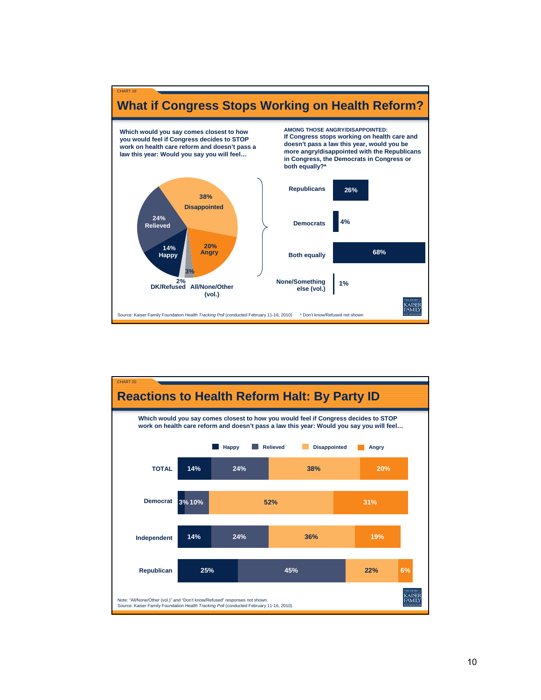

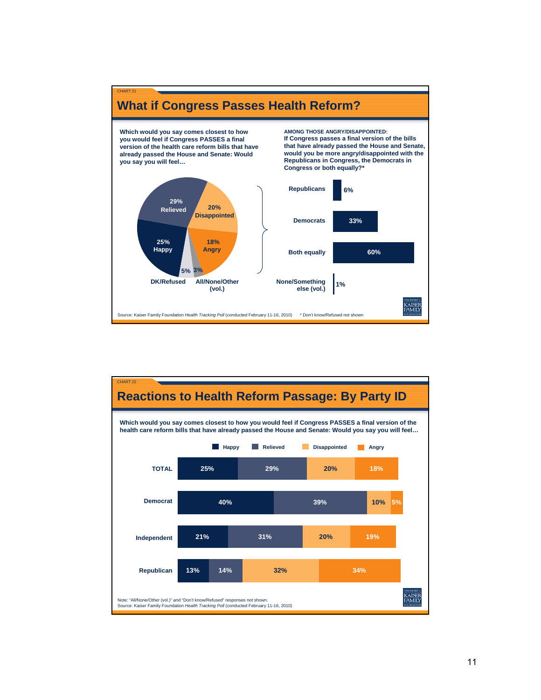

CHART 21